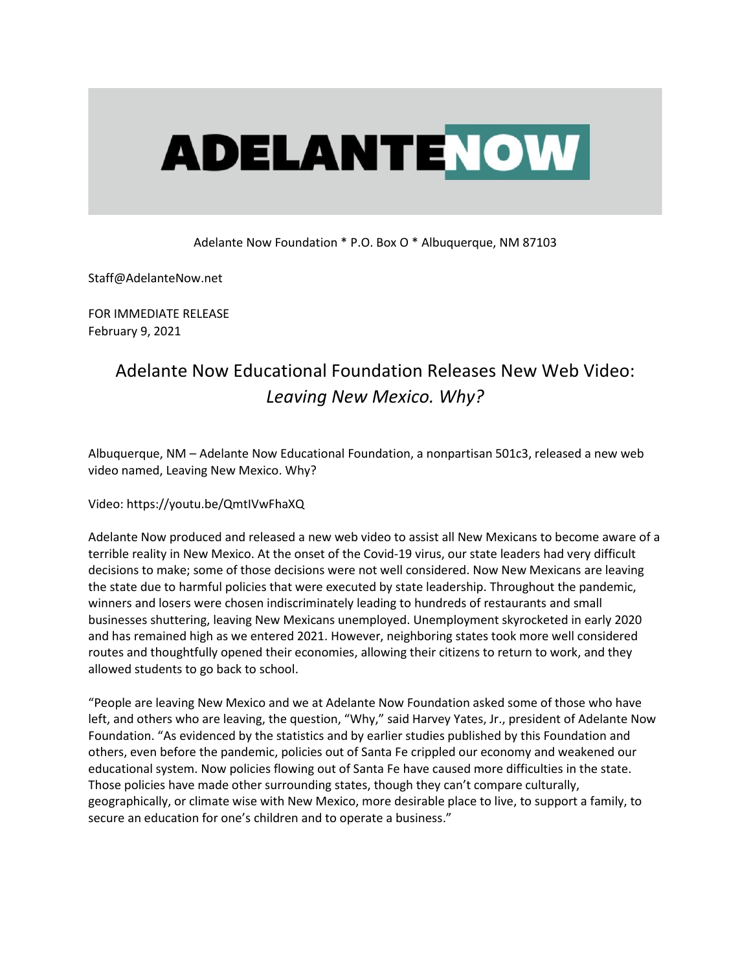## **ADELANTENOW**

Adelante Now Foundation \* P.O. Box O \* Albuquerque, NM 87103

Staff@AdelanteNow.net

FOR IMMEDIATE RELEASE February 9, 2021

## Adelante Now Educational Foundation Releases New Web Video: *Leaving New Mexico. Why?*

Albuquerque, NM – Adelante Now Educational Foundation, a nonpartisan 501c3, released a new web video named, Leaving New Mexico. Why?

## Video: https://youtu.be/QmtIVwFhaXQ

Adelante Now produced and released a new web video to assist all New Mexicans to become aware of a terrible reality in New Mexico. At the onset of the Covid-19 virus, our state leaders had very difficult decisions to make; some of those decisions were not well considered. Now New Mexicans are leaving the state due to harmful policies that were executed by state leadership. Throughout the pandemic, winners and losers were chosen indiscriminately leading to hundreds of restaurants and small businesses shuttering, leaving New Mexicans unemployed. Unemployment skyrocketed in early 2020 and has remained high as we entered 2021. However, neighboring states took more well considered routes and thoughtfully opened their economies, allowing their citizens to return to work, and they allowed students to go back to school.

"People are leaving New Mexico and we at Adelante Now Foundation asked some of those who have left, and others who are leaving, the question, "Why," said Harvey Yates, Jr., president of Adelante Now Foundation. "As evidenced by the statistics and by earlier studies published by this Foundation and others, even before the pandemic, policies out of Santa Fe crippled our economy and weakened our educational system. Now policies flowing out of Santa Fe have caused more difficulties in the state. Those policies have made other surrounding states, though they can't compare culturally, geographically, or climate wise with New Mexico, more desirable place to live, to support a family, to secure an education for one's children and to operate a business."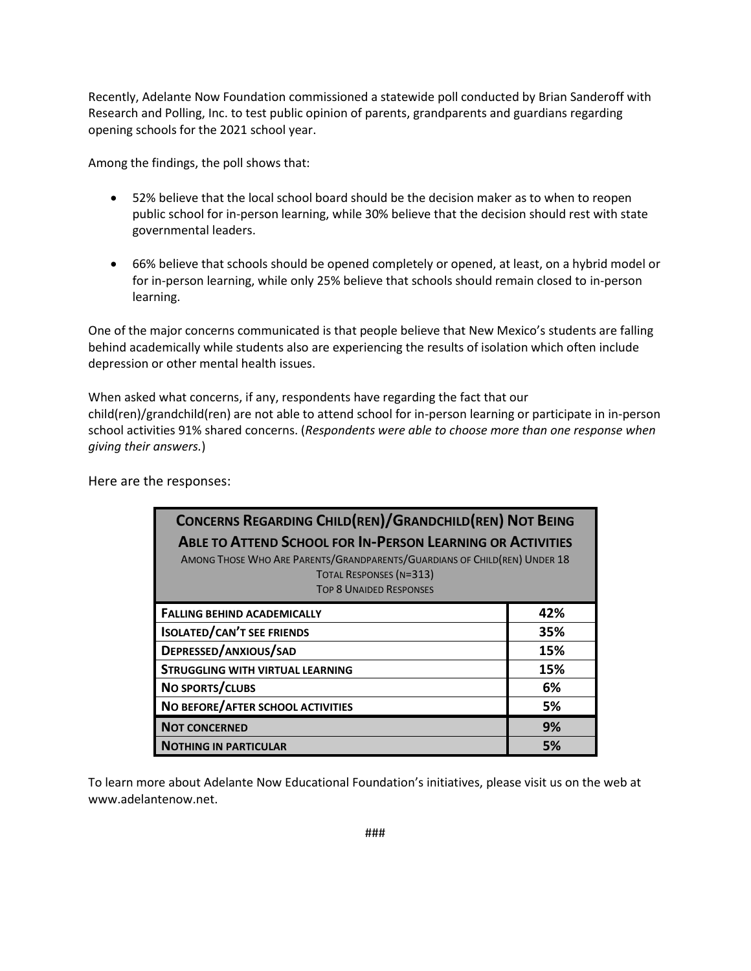Recently, Adelante Now Foundation commissioned a statewide poll conducted by Brian Sanderoff with Research and Polling, Inc. to test public opinion of parents, grandparents and guardians regarding opening schools for the 2021 school year.

Among the findings, the poll shows that:

- 52% believe that the local school board should be the decision maker as to when to reopen public school for in-person learning, while 30% believe that the decision should rest with state governmental leaders.
- 66% believe that schools should be opened completely or opened, at least, on a hybrid model or for in-person learning, while only 25% believe that schools should remain closed to in-person learning.

One of the major concerns communicated is that people believe that New Mexico's students are falling behind academically while students also are experiencing the results of isolation which often include depression or other mental health issues.

When asked what concerns, if any, respondents have regarding the fact that our child(ren)/grandchild(ren) are not able to attend school for in-person learning or participate in in-person school activities 91% shared concerns. (*Respondents were able to choose more than one response when giving their answers.*)

| <b>CONCERNS REGARDING CHILD(REN)/GRANDCHILD(REN) NOT BEING</b><br><b>ABLE TO ATTEND SCHOOL FOR IN-PERSON LEARNING OR ACTIVITIES</b><br>AMONG THOSE WHO ARE PARENTS/GRANDPARENTS/GUARDIANS OF CHILD(REN) UNDER 18<br><b>TOTAL RESPONSES (N=313)</b><br><b>TOP 8 UNAIDED RESPONSES</b> |     |
|--------------------------------------------------------------------------------------------------------------------------------------------------------------------------------------------------------------------------------------------------------------------------------------|-----|
| <b>FALLING BEHIND ACADEMICALLY</b>                                                                                                                                                                                                                                                   | 42% |
| <b>ISOLATED/CAN'T SEE FRIENDS</b>                                                                                                                                                                                                                                                    | 35% |
| DEPRESSED/ANXIOUS/SAD                                                                                                                                                                                                                                                                | 15% |
| <b>STRUGGLING WITH VIRTUAL LEARNING</b>                                                                                                                                                                                                                                              | 15% |
| NO SPORTS/CLUBS                                                                                                                                                                                                                                                                      | 6%  |
| NO BEFORE/AFTER SCHOOL ACTIVITIES                                                                                                                                                                                                                                                    | 5%  |
| <b>NOT CONCERNED</b>                                                                                                                                                                                                                                                                 | 9%  |
| <b>NOTHING IN PARTICULAR</b>                                                                                                                                                                                                                                                         | 5%  |

Here are the responses:

To learn more about Adelante Now Educational Foundation's initiatives, please visit us on the web at www.adelantenow.net.